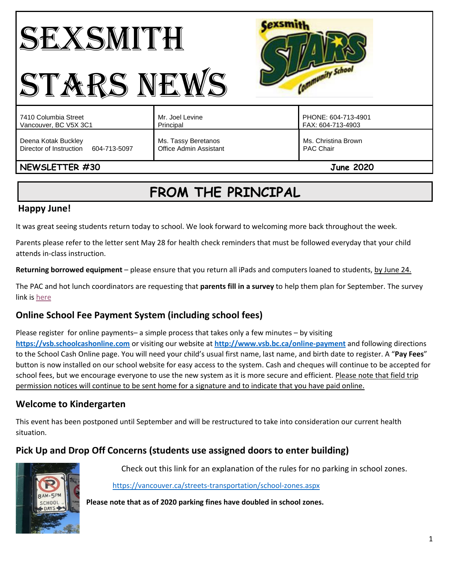#### **Cexsmith** SEXSMITH Community School STARS NEWS Mr. Joel Levine PHONE: 604-713-4901 7410 Columbia Street Vancouver, BC V5X 3C1 Principal FAX: 604-713-4903 Deena Kotak Buckley Ms. Tassy Beretanos Ms. Christina Brown Director of Instruction 604-713-5097 Office Admin Assistant PAC Chair **NEWSLETTER #30 June 2020**

# **FROM THE PRINCIPAL**

# **Happy June!**

It was great seeing students return today to school. We look forward to welcoming more back throughout the week.

Parents please refer to the letter sent May 28 for health check reminders that must be followed everyday that your child attends in-class instruction.

**Returning borrowed equipment** – please ensure that you return all iPads and computers loaned to students, by June 24.

The PAC and hot lunch coordinators are requesting that **parents fill in a survey** to help them plan for September. The survey link is [here](https://docs.google.com/forms/d/e/1FAIpQLSfuC59tOZ3IhPjJCs4R_iBvKtG2J1Lq1xZa-a7TONFllTIHHA/viewform)

# **Online School Fee Payment System (including school fees)**

Please register for online payments– a simple process that takes only a few minutes – by visiting **[https://vsb.schoolcashonline.com](https://vsb.schoolcashonline.com/)** or visiting our website at **<http://www.vsb.bc.ca/online-payment>** and following directions to the School Cash Online page. You will need your child's usual first name, last name, and birth date to register. A "**Pay Fees**" button is now installed on our school website for easy access to the system. Cash and cheques will continue to be accepted for school fees, but we encourage everyone to use the new system as it is more secure and efficient. Please note that field trip permission notices will continue to be sent home for a signature and to indicate that you have paid online.

# **Welcome to Kindergarten**

This event has been postponed until September and will be restructured to take into consideration our current health situation.

# **Pick Up and Drop Off Concerns (students use assigned doors to enter building)**



Check out this link for an explanation of the rules for no parking in school zones.

<https://vancouver.ca/streets-transportation/school-zones.aspx>

**Please note that as of 2020 parking fines have doubled in school zones.**